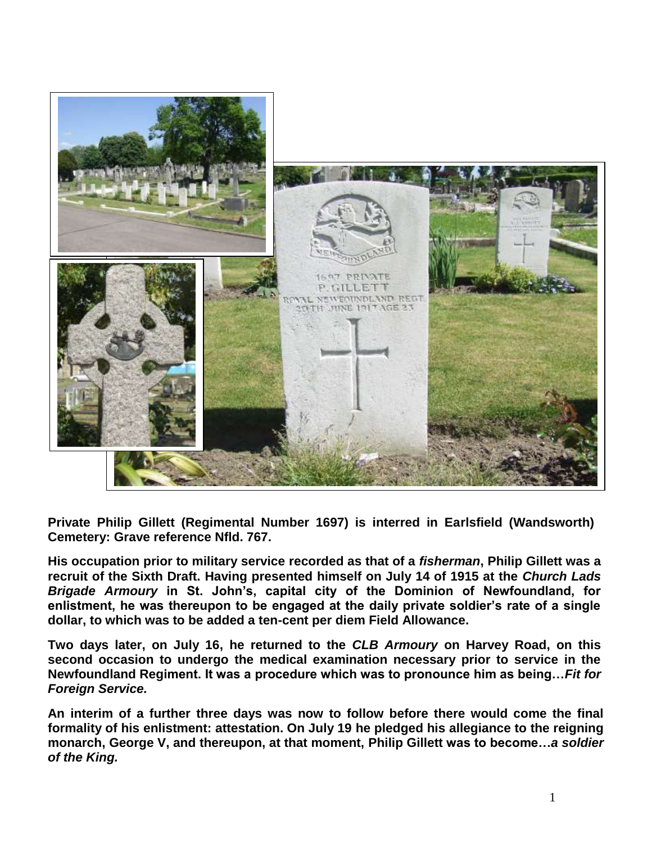

**Private Philip Gillett (Regimental Number 1697) is interred in Earlsfield (Wandsworth) Cemetery: Grave reference Nfld. 767.** 

**His occupation prior to military service recorded as that of a** *fisherman***, Philip Gillett was a recruit of the Sixth Draft. Having presented himself on July 14 of 1915 at the** *Church Lads Brigade Armoury* **in St. John's, capital city of the Dominion of Newfoundland, for enlistment, he was thereupon to be engaged at the daily private soldier's rate of a single dollar, to which was to be added a ten-cent per diem Field Allowance.**

**Two days later, on July 16, he returned to the** *CLB Armoury* **on Harvey Road, on this second occasion to undergo the medical examination necessary prior to service in the Newfoundland Regiment. It was a procedure which was to pronounce him as being…***Fit for Foreign Service.*

**An interim of a further three days was now to follow before there would come the final formality of his enlistment: attestation. On July 19 he pledged his allegiance to the reigning monarch, George V, and thereupon, at that moment, Philip Gillett was to become…***a soldier of the King.*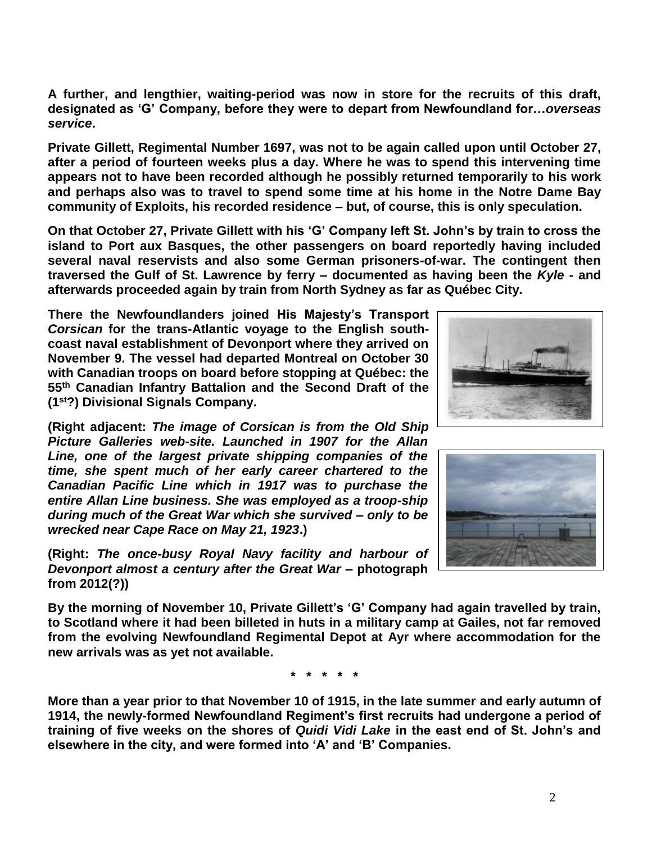**A further, and lengthier, waiting-period was now in store for the recruits of this draft, designated as 'G' Company, before they were to depart from Newfoundland for…***overseas service***.** 

**Private Gillett, Regimental Number 1697, was not to be again called upon until October 27, after a period of fourteen weeks plus a day. Where he was to spend this intervening time appears not to have been recorded although he possibly returned temporarily to his work and perhaps also was to travel to spend some time at his home in the Notre Dame Bay community of Exploits, his recorded residence – but, of course, this is only speculation.**

**On that October 27, Private Gillett with his 'G' Company left St. John's by train to cross the island to Port aux Basques, the other passengers on board reportedly having included several naval reservists and also some German prisoners-of-war. The contingent then traversed the Gulf of St. Lawrence by ferry – documented as having been the** *Kyle* **- and afterwards proceeded again by train from North Sydney as far as Québec City.**

**There the Newfoundlanders joined His Majesty's Transport** *Corsican* **for the trans-Atlantic voyage to the English southcoast naval establishment of Devonport where they arrived on November 9. The vessel had departed Montreal on October 30 with Canadian troops on board before stopping at Québec: the 55th Canadian Infantry Battalion and the Second Draft of the (1st?) Divisional Signals Company.**

**(Right adjacent:** *The image of Corsican is from the Old Ship Picture Galleries web-site. Launched in 1907 for the Allan Line, one of the largest private shipping companies of the time, she spent much of her early career chartered to the Canadian Pacific Line which in 1917 was to purchase the entire Allan Line business. She was employed as a troop-ship during much of the Great War which she survived – only to be wrecked near Cape Race on May 21, 1923***.)**

**(Right:** *The once-busy Royal Navy facility and harbour of Devonport almost a century after the Great War* **– photograph from 2012(?))**



**\* \* \* \* \***

**More than a year prior to that November 10 of 1915, in the late summer and early autumn of 1914, the newly-formed Newfoundland Regiment's first recruits had undergone a period of training of five weeks on the shores of** *Quidi Vidi Lake* **in the east end of St. John's and elsewhere in the city, and were formed into 'A' and 'B' Companies.** 



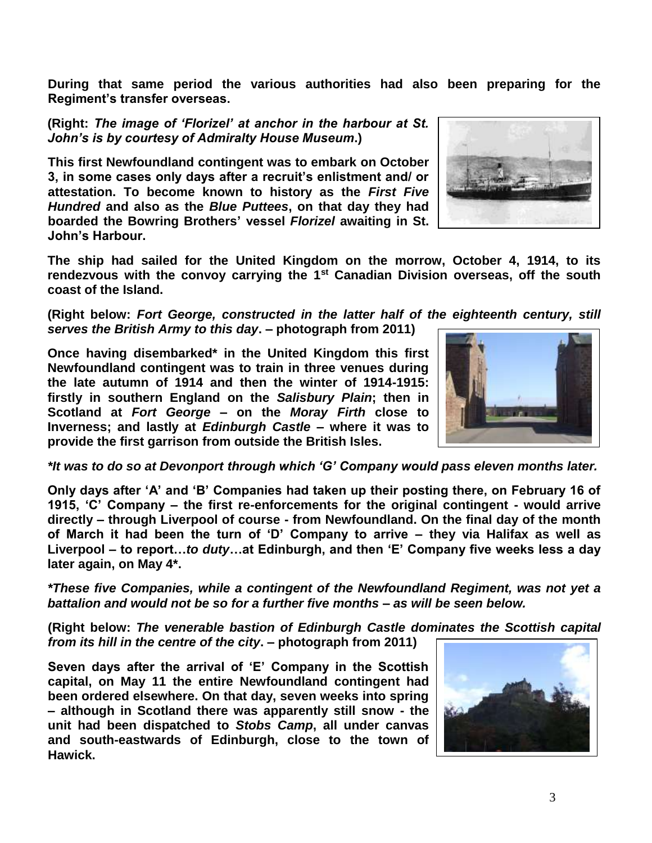**During that same period the various authorities had also been preparing for the Regiment's transfer overseas.**

**(Right:** *The image of 'Florizel' at anchor in the harbour at St. John's is by courtesy of Admiralty House Museum***.)**

**This first Newfoundland contingent was to embark on October 3, in some cases only days after a recruit's enlistment and/ or attestation. To become known to history as the** *First Five Hundred* **and also as the** *Blue Puttees***, on that day they had boarded the Bowring Brothers' vessel** *Florizel* **awaiting in St. John's Harbour.**

**The ship had sailed for the United Kingdom on the morrow, October 4, 1914, to its rendezvous with the convoy carrying the 1st Canadian Division overseas, off the south coast of the Island.** 

**(Right below:** *Fort George, constructed in the latter half of the eighteenth century, still serves the British Army to this day***. – photograph from 2011)**

**Once having disembarked\* in the United Kingdom this first Newfoundland contingent was to train in three venues during the late autumn of 1914 and then the winter of 1914-1915: firstly in southern England on the** *Salisbury Plain***; then in Scotland at** *Fort George* **– on the** *Moray Firth* **close to Inverness; and lastly at** *Edinburgh Castle* **– where it was to provide the first garrison from outside the British Isles.** 

*\*It was to do so at Devonport through which 'G' Company would pass eleven months later.*

**Only days after 'A' and 'B' Companies had taken up their posting there, on February 16 of 1915, 'C' Company – the first re-enforcements for the original contingent - would arrive directly – through Liverpool of course - from Newfoundland. On the final day of the month of March it had been the turn of 'D' Company to arrive – they via Halifax as well as Liverpool – to report…***to duty***…at Edinburgh, and then 'E' Company five weeks less a day later again, on May 4\*.**

*\*These five Companies, while a contingent of the Newfoundland Regiment, was not yet a battalion and would not be so for a further five months – as will be seen below.*

**(Right below:** *The venerable bastion of Edinburgh Castle dominates the Scottish capital from its hill in the centre of the city***. – photograph from 2011)**

**Seven days after the arrival of 'E' Company in the Scottish capital, on May 11 the entire Newfoundland contingent had been ordered elsewhere. On that day, seven weeks into spring – although in Scotland there was apparently still snow - the unit had been dispatched to** *Stobs Camp***, all under canvas and south-eastwards of Edinburgh, close to the town of Hawick.**





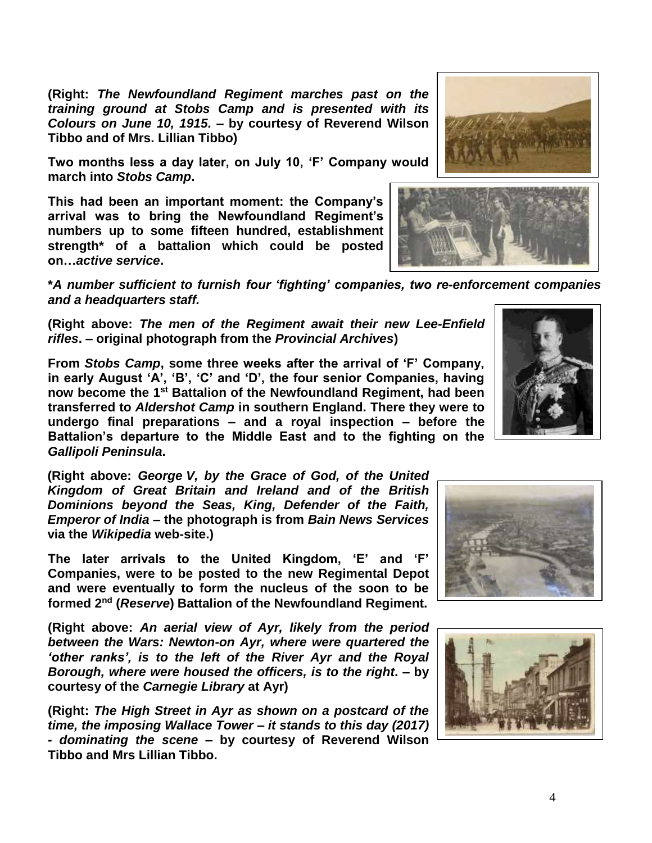**(Right:** *The Newfoundland Regiment marches past on the training ground at Stobs Camp and is presented with its Colours on June 10, 1915.* **– by courtesy of Reverend Wilson Tibbo and of Mrs. Lillian Tibbo)**

**Two months less a day later, on July 10, 'F' Company would march into** *Stobs Camp***.** 

**This had been an important moment: the Company's arrival was to bring the Newfoundland Regiment's numbers up to some fifteen hundred, establishment strength\* of a battalion which could be posted on…***active service***.**

**\****A number sufficient to furnish four 'fighting' companies, two re-enforcement companies and a headquarters staff.*

**(Right above:** *The men of the Regiment await their new Lee-Enfield rifles***. – original photograph from the** *Provincial Archives***)**

**From** *Stobs Camp***, some three weeks after the arrival of 'F' Company, in early August 'A', 'B', 'C' and 'D', the four senior Companies, having now become the 1st Battalion of the Newfoundland Regiment, had been transferred to** *Aldershot Camp* **in southern England. There they were to undergo final preparations – and a royal inspection – before the Battalion's departure to the Middle East and to the fighting on the**  *Gallipoli Peninsula***.**

**(Right above:** *George V, by the Grace of God, of the United Kingdom of Great Britain and Ireland and of the British Dominions beyond the Seas, King, Defender of the Faith, Emperor of India* **– the photograph is from** *Bain News Services* **via the** *Wikipedia* **web-site.)**

**The later arrivals to the United Kingdom, 'E' and 'F' Companies, were to be posted to the new Regimental Depot and were eventually to form the nucleus of the soon to be formed 2nd (***Reserve***) Battalion of the Newfoundland Regiment.** 

**(Right above:** *An aerial view of Ayr, likely from the period between the Wars: Newton-on Ayr, where were quartered the 'other ranks', is to the left of the River Ayr and the Royal Borough, where were housed the officers, is to the right***. – by courtesy of the** *Carnegie Library* **at Ayr)**

**(Right:** *The High Street in Ayr as shown on a postcard of the time, the imposing Wallace Tower – it stands to this day (2017) - dominating the scene* **– by courtesy of Reverend Wilson Tibbo and Mrs Lillian Tibbo.**









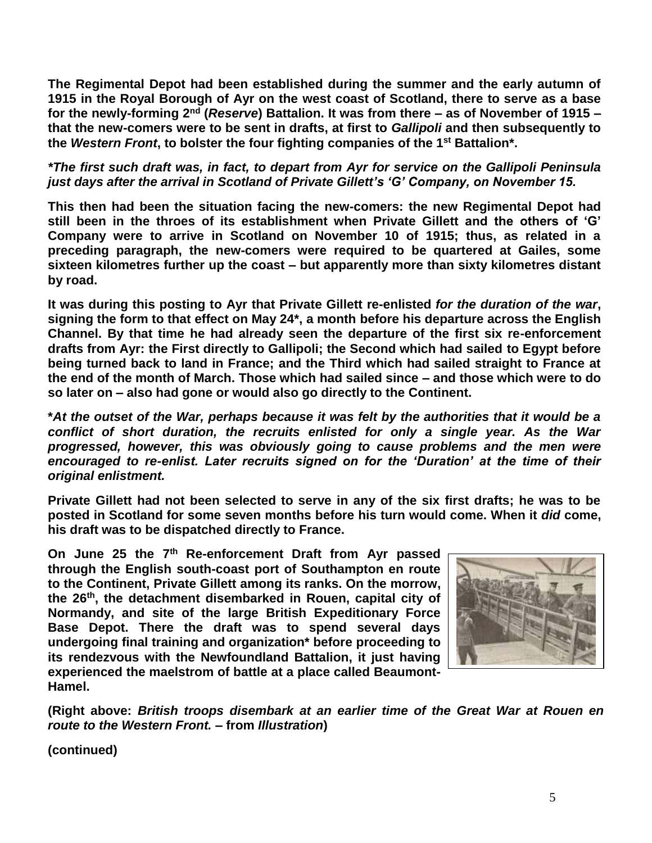**The Regimental Depot had been established during the summer and the early autumn of 1915 in the Royal Borough of Ayr on the west coast of Scotland, there to serve as a base for the newly-forming 2nd (***Reserve***) Battalion. It was from there – as of November of 1915 – that the new-comers were to be sent in drafts, at first to** *Gallipoli* **and then subsequently to the** *Western Front***, to bolster the four fighting companies of the 1st Battalion\*.** 

*\*The first such draft was, in fact, to depart from Ayr for service on the Gallipoli Peninsula just days after the arrival in Scotland of Private Gillett's 'G' Company, on November 15.*

**This then had been the situation facing the new-comers: the new Regimental Depot had still been in the throes of its establishment when Private Gillett and the others of 'G' Company were to arrive in Scotland on November 10 of 1915; thus, as related in a preceding paragraph, the new-comers were required to be quartered at Gailes, some sixteen kilometres further up the coast – but apparently more than sixty kilometres distant by road.**

**It was during this posting to Ayr that Private Gillett re-enlisted** *for the duration of the war***, signing the form to that effect on May 24\*, a month before his departure across the English Channel. By that time he had already seen the departure of the first six re-enforcement drafts from Ayr: the First directly to Gallipoli; the Second which had sailed to Egypt before being turned back to land in France; and the Third which had sailed straight to France at the end of the month of March. Those which had sailed since – and those which were to do so later on – also had gone or would also go directly to the Continent.**

**\****At the outset of the War, perhaps because it was felt by the authorities that it would be a conflict of short duration, the recruits enlisted for only a single year. As the War progressed, however, this was obviously going to cause problems and the men were encouraged to re-enlist. Later recruits signed on for the 'Duration' at the time of their original enlistment.*

**Private Gillett had not been selected to serve in any of the six first drafts; he was to be posted in Scotland for some seven months before his turn would come. When it** *did* **come, his draft was to be dispatched directly to France.**

**On June 25 the 7th Re-enforcement Draft from Ayr passed through the English south-coast port of Southampton en route to the Continent, Private Gillett among its ranks. On the morrow, the 26th, the detachment disembarked in Rouen, capital city of Normandy, and site of the large British Expeditionary Force Base Depot. There the draft was to spend several days undergoing final training and organization\* before proceeding to its rendezvous with the Newfoundland Battalion, it just having experienced the maelstrom of battle at a place called Beaumont-Hamel.**



**(Right above:** *British troops disembark at an earlier time of the Great War at Rouen en route to the Western Front.* **– from** *Illustration***)**

**(continued)**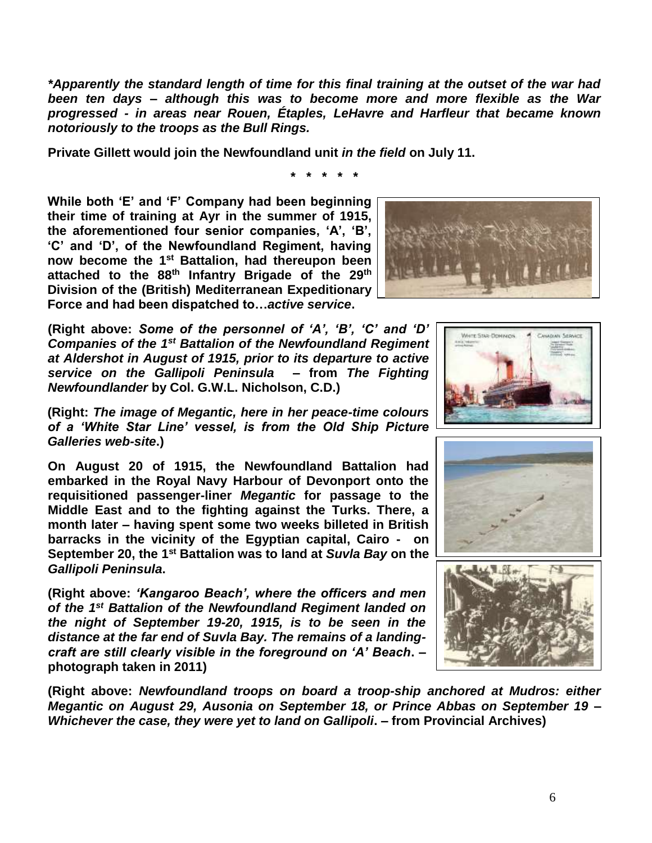*\*Apparently the standard length of time for this final training at the outset of the war had been ten days – although this was to become more and more flexible as the War progressed - in areas near Rouen, Étaples, LeHavre and Harfleur that became known notoriously to the troops as the Bull Rings.*

**\* \* \* \* \***

**Private Gillett would join the Newfoundland unit** *in the field* **on July 11.**

**While both 'E' and 'F' Company had been beginning their time of training at Ayr in the summer of 1915, the aforementioned four senior companies, 'A', 'B', 'C' and 'D', of the Newfoundland Regiment, having now become the 1st Battalion, had thereupon been attached to the 88th Infantry Brigade of the 29th Division of the (British) Mediterranean Expeditionary Force and had been dispatched to…***active service***.**

**(Right above:** *Some of the personnel of 'A', 'B', 'C' and 'D' Companies of the 1st Battalion of the Newfoundland Regiment at Aldershot in August of 1915, prior to its departure to active service on the Gallipoli Peninsula* **– from** *The Fighting Newfoundlander* **by Col. G.W.L. Nicholson, C.D.)**

**(Right:** *The image of Megantic, here in her peace-time colours of a 'White Star Line' vessel, is from the Old Ship Picture Galleries web-site***.)**

**On August 20 of 1915, the Newfoundland Battalion had embarked in the Royal Navy Harbour of Devonport onto the requisitioned passenger-liner** *Megantic* **for passage to the Middle East and to the fighting against the Turks. There, a month later – having spent some two weeks billeted in British barracks in the vicinity of the Egyptian capital, Cairo - on September 20, the 1st Battalion was to land at** *Suvla Bay* **on the**  *Gallipoli Peninsula***.**

**(Right above:** *'Kangaroo Beach', where the officers and men of the 1st Battalion of the Newfoundland Regiment landed on the night of September 19-20, 1915, is to be seen in the distance at the far end of Suvla Bay. The remains of a landingcraft are still clearly visible in the foreground on 'A' Beach***. – photograph taken in 2011)**

**(Right above:** *Newfoundland troops on board a troop-ship anchored at Mudros: either Megantic on August 29, Ausonia on September 18, or Prince Abbas on September 19 – Whichever the case, they were yet to land on Gallipoli***. – from Provincial Archives)**







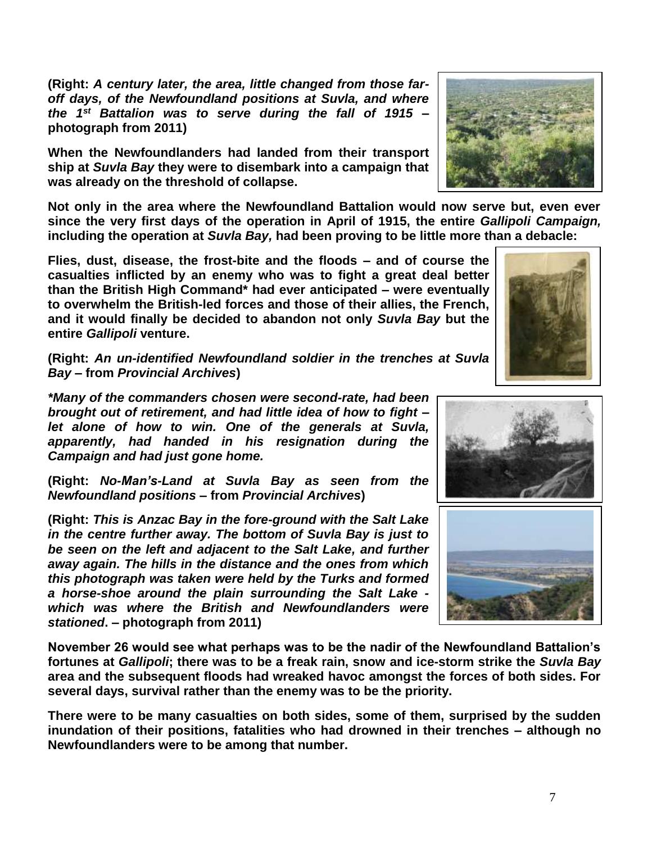**(Right:** *A century later, the area, little changed from those faroff days, of the Newfoundland positions at Suvla, and where the 1st Battalion was to serve during the fall of 1915* **– photograph from 2011)**

**When the Newfoundlanders had landed from their transport ship at** *Suvla Bay* **they were to disembark into a campaign that was already on the threshold of collapse.**

**Not only in the area where the Newfoundland Battalion would now serve but, even ever since the very first days of the operation in April of 1915, the entire** *Gallipoli Campaign,* **including the operation at** *Suvla Bay,* **had been proving to be little more than a debacle:** 

**Flies, dust, disease, the frost-bite and the floods – and of course the casualties inflicted by an enemy who was to fight a great deal better than the British High Command\* had ever anticipated – were eventually to overwhelm the British-led forces and those of their allies, the French, and it would finally be decided to abandon not only** *Suvla Bay* **but the entire** *Gallipoli* **venture.**

**(Right:** *An un-identified Newfoundland soldier in the trenches at Suvla Bay –* **from** *Provincial Archives***)**

*\*Many of the commanders chosen were second-rate, had been brought out of retirement, and had little idea of how to fight – let alone of how to win. One of the generals at Suvla, apparently, had handed in his resignation during the Campaign and had just gone home.* 

**(Right:** *No-Man's-Land at Suvla Bay as seen from the Newfoundland positions* **– from** *Provincial Archives***)**

**(Right:** *This is Anzac Bay in the fore-ground with the Salt Lake in the centre further away. The bottom of Suvla Bay is just to be seen on the left and adjacent to the Salt Lake, and further away again. The hills in the distance and the ones from which this photograph was taken were held by the Turks and formed a horse-shoe around the plain surrounding the Salt Lake which was where the British and Newfoundlanders were stationed***. – photograph from 2011)**

**November 26 would see what perhaps was to be the nadir of the Newfoundland Battalion's fortunes at** *Gallipoli***; there was to be a freak rain, snow and ice-storm strike the** *Suvla Bay* **area and the subsequent floods had wreaked havoc amongst the forces of both sides. For several days, survival rather than the enemy was to be the priority.**

**There were to be many casualties on both sides, some of them, surprised by the sudden inundation of their positions, fatalities who had drowned in their trenches – although no Newfoundlanders were to be among that number.**





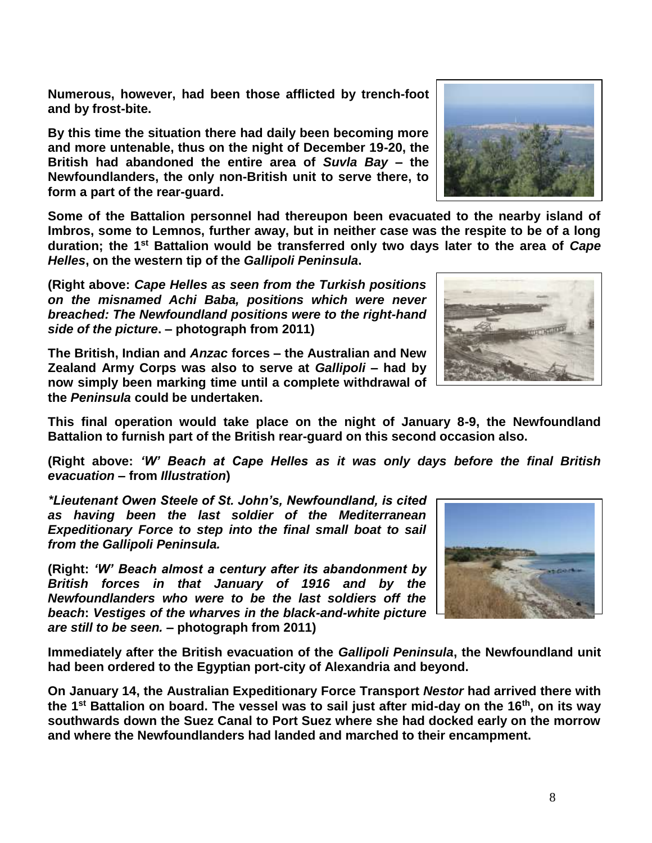8

**Numerous, however, had been those afflicted by trench-foot and by frost-bite.**

**By this time the situation there had daily been becoming more and more untenable, thus on the night of December 19-20, the British had abandoned the entire area of** *Suvla Bay* **– the Newfoundlanders, the only non-British unit to serve there, to form a part of the rear-guard.** 

**Some of the Battalion personnel had thereupon been evacuated to the nearby island of Imbros, some to Lemnos, further away, but in neither case was the respite to be of a long duration; the 1st Battalion would be transferred only two days later to the area of** *Cape Helles***, on the western tip of the** *Gallipoli Peninsula***.**

**(Right above:** *Cape Helles as seen from the Turkish positions on the misnamed Achi Baba, positions which were never breached: The Newfoundland positions were to the right-hand side of the picture***. – photograph from 2011)**

**This final operation would take place on the night of January 8-9, the Newfoundland Battalion to furnish part of the British rear-guard on this second occasion also.**

**(Right above:** *'W' Beach at Cape Helles as it was only days before the final British evacuation* **– from** *Illustration***)**

*\*Lieutenant Owen Steele of St. John's, Newfoundland, is cited as having been the last soldier of the Mediterranean Expeditionary Force to step into the final small boat to sail from the Gallipoli Peninsula.*

**(Right:** *'W' Beach almost a century after its abandonment by British forces in that January of 1916 and by the Newfoundlanders who were to be the last soldiers off the beach***:** *Vestiges of the wharves in the black-and-white picture are still to be seen.* **– photograph from 2011)**

**Immediately after the British evacuation of the** *Gallipoli Peninsula***, the Newfoundland unit had been ordered to the Egyptian port-city of Alexandria and beyond.** 

**On January 14, the Australian Expeditionary Force Transport** *Nestor* **had arrived there with the 1st Battalion on board. The vessel was to sail just after mid-day on the 16th, on its way southwards down the Suez Canal to Port Suez where she had docked early on the morrow and where the Newfoundlanders had landed and marched to their encampment.**

**The British, Indian and** *Anzac* **forces – the Australian and New Zealand Army Corps was also to serve at** *Gallipoli* **– had by now simply been marking time until a complete withdrawal of the** *Peninsula* **could be undertaken.** 





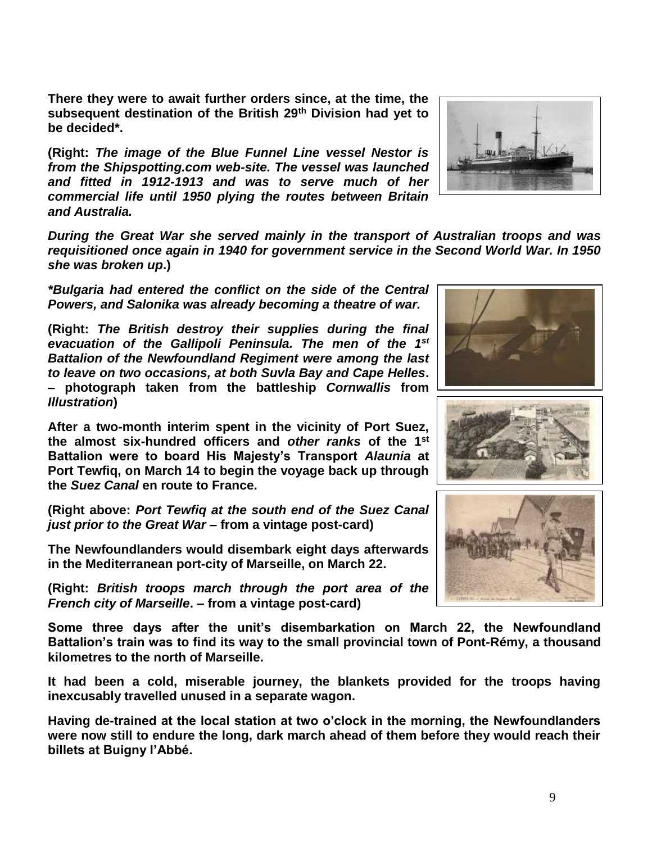**There they were to await further orders since, at the time, the subsequent destination of the British 29th Division had yet to be decided\*.**

**(Right:** *The image of the Blue Funnel Line vessel Nestor is from the Shipspotting.com web-site. The vessel was launched and fitted in 1912-1913 and was to serve much of her commercial life until 1950 plying the routes between Britain and Australia.* 

*During the Great War she served mainly in the transport of Australian troops and was requisitioned once again in 1940 for government service in the Second World War. In 1950 she was broken up***.)**

*\*Bulgaria had entered the conflict on the side of the Central Powers, and Salonika was already becoming a theatre of war.*

**(Right:** *The British destroy their supplies during the final evacuation of the Gallipoli Peninsula. The men of the 1st Battalion of the Newfoundland Regiment were among the last to leave on two occasions, at both Suvla Bay and Cape Helles***. – photograph taken from the battleship** *Cornwallis* **from**  *Illustration***)**

**After a two-month interim spent in the vicinity of Port Suez, the almost six-hundred officers and** *other ranks* **of the 1st Battalion were to board His Majesty's Transport** *Alaunia* **at Port Tewfiq, on March 14 to begin the voyage back up through the** *Suez Canal* **en route to France.**

**(Right above:** *Port Tewfiq at the south end of the Suez Canal just prior to the Great War* **– from a vintage post-card)**

**The Newfoundlanders would disembark eight days afterwards in the Mediterranean port-city of Marseille, on March 22.**

**(Right:** *British troops march through the port area of the French city of Marseille***. – from a vintage post-card)**

**Some three days after the unit's disembarkation on March 22, the Newfoundland Battalion's train was to find its way to the small provincial town of Pont-Rémy, a thousand kilometres to the north of Marseille.** 

**It had been a cold, miserable journey, the blankets provided for the troops having inexcusably travelled unused in a separate wagon.**

**Having de-trained at the local station at two o'clock in the morning, the Newfoundlanders were now still to endure the long, dark march ahead of them before they would reach their billets at Buigny l'Abbé.**







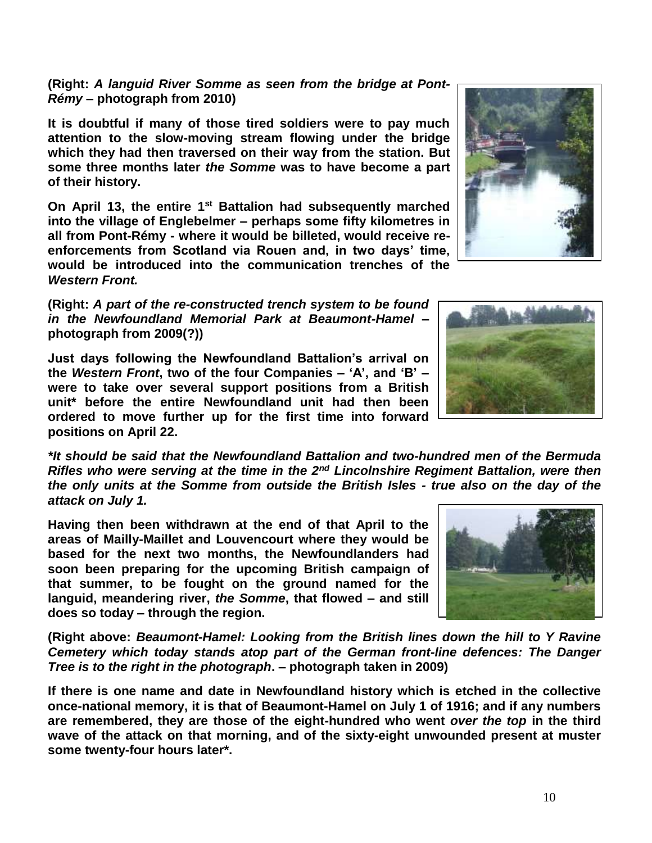## **(Right:** *A languid River Somme as seen from the bridge at Pont-Rémy* **– photograph from 2010)**

**It is doubtful if many of those tired soldiers were to pay much attention to the slow-moving stream flowing under the bridge which they had then traversed on their way from the station. But some three months later** *the Somme* **was to have become a part of their history.**

**On April 13, the entire 1st Battalion had subsequently marched into the village of Englebelmer – perhaps some fifty kilometres in all from Pont-Rémy - where it would be billeted, would receive reenforcements from Scotland via Rouen and, in two days' time, would be introduced into the communication trenches of the**  *Western Front.*

**(Right:** *A part of the re-constructed trench system to be found in the Newfoundland Memorial Park at Beaumont-Hamel* **– photograph from 2009(?))**

**Just days following the Newfoundland Battalion's arrival on the** *Western Front***, two of the four Companies – 'A', and 'B' – were to take over several support positions from a British unit\* before the entire Newfoundland unit had then been ordered to move further up for the first time into forward positions on April 22.**

*\*It should be said that the Newfoundland Battalion and two-hundred men of the Bermuda Rifles who were serving at the time in the 2nd Lincolnshire Regiment Battalion, were then the only units at the Somme from outside the British Isles - true also on the day of the attack on July 1.*

**Having then been withdrawn at the end of that April to the areas of Mailly-Maillet and Louvencourt where they would be based for the next two months, the Newfoundlanders had soon been preparing for the upcoming British campaign of that summer, to be fought on the ground named for the languid, meandering river,** *the Somme***, that flowed – and still does so today – through the region.** 

**(Right above:** *Beaumont-Hamel: Looking from the British lines down the hill to Y Ravine Cemetery which today stands atop part of the German front-line defences: The Danger Tree is to the right in the photograph***. – photograph taken in 2009)**

**If there is one name and date in Newfoundland history which is etched in the collective once-national memory, it is that of Beaumont-Hamel on July 1 of 1916; and if any numbers are remembered, they are those of the eight-hundred who went** *over the top* **in the third wave of the attack on that morning, and of the sixty-eight unwounded present at muster some twenty-four hours later\*.**





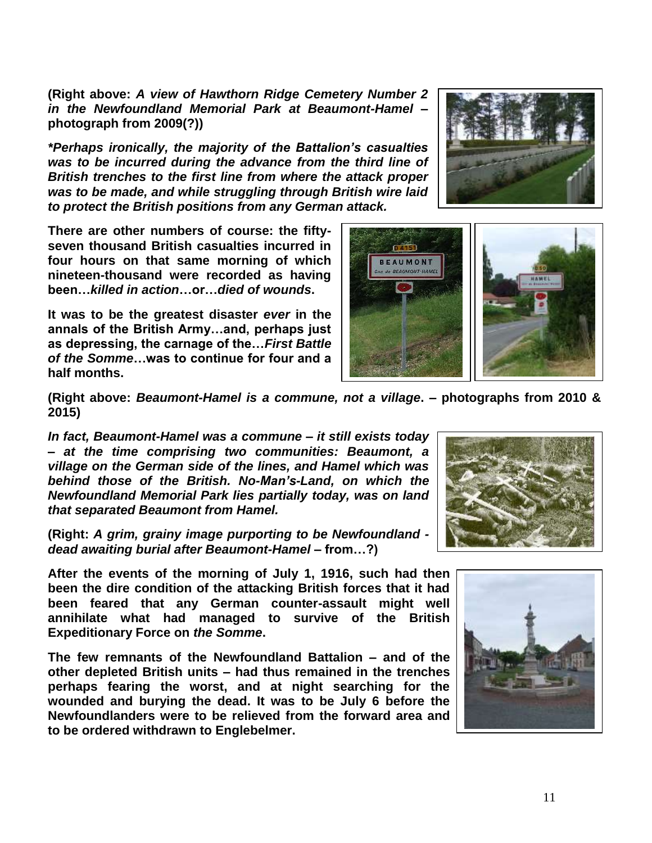**(Right above:** *A view of Hawthorn Ridge Cemetery Number 2 in the Newfoundland Memorial Park at Beaumont-Hamel* **– photograph from 2009(?))**

*\*Perhaps ironically, the majority of the Battalion's casualties was to be incurred during the advance from the third line of British trenches to the first line from where the attack proper was to be made, and while struggling through British wire laid to protect the British positions from any German attack.*

**There are other numbers of course: the fiftyseven thousand British casualties incurred in four hours on that same morning of which nineteen-thousand were recorded as having been…***killed in action***…or…***died of wounds***.** 

**It was to be the greatest disaster** *ever* **in the annals of the British Army…and, perhaps just as depressing, the carnage of the…***First Battle of the Somme***…was to continue for four and a half months.**





**(Right above:** *Beaumont-Hamel is a commune, not a village***. – photographs from 2010 & 2015)**

*In fact, Beaumont-Hamel was a commune – it still exists today – at the time comprising two communities: Beaumont, a village on the German side of the lines, and Hamel which was behind those of the British. No-Man's-Land, on which the Newfoundland Memorial Park lies partially today, was on land that separated Beaumont from Hamel.* 

**(Right:** *A grim, grainy image purporting to be Newfoundland dead awaiting burial after Beaumont-Hamel –* **from…?)**

**After the events of the morning of July 1, 1916, such had then been the dire condition of the attacking British forces that it had been feared that any German counter-assault might well annihilate what had managed to survive of the British Expeditionary Force on** *the Somme***.** 

**The few remnants of the Newfoundland Battalion – and of the other depleted British units – had thus remained in the trenches perhaps fearing the worst, and at night searching for the wounded and burying the dead. It was to be July 6 before the Newfoundlanders were to be relieved from the forward area and to be ordered withdrawn to Englebelmer.** 



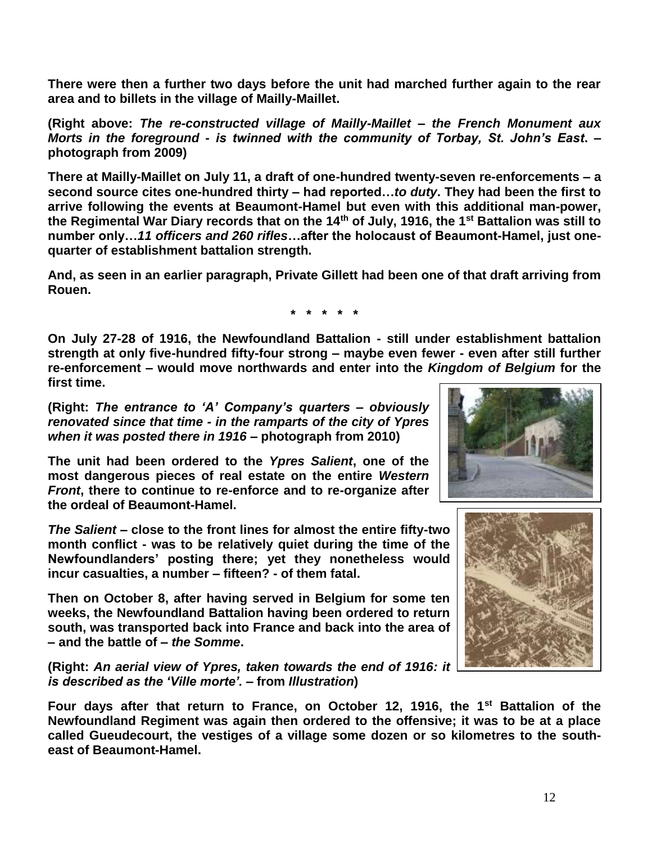**There were then a further two days before the unit had marched further again to the rear area and to billets in the village of Mailly-Maillet.**

**(Right above:** *The re-constructed village of Mailly-Maillet – the French Monument aux Morts in the foreground - is twinned with the community of Torbay, St. John's East***. – photograph from 2009)**

**There at Mailly-Maillet on July 11, a draft of one-hundred twenty-seven re-enforcements – a second source cites one-hundred thirty – had reported…***to duty***. They had been the first to arrive following the events at Beaumont-Hamel but even with this additional man-power, the Regimental War Diary records that on the 14th of July, 1916, the 1st Battalion was still to number only…***11 officers and 260 rifles***…after the holocaust of Beaumont-Hamel, just onequarter of establishment battalion strength.**

**And, as seen in an earlier paragraph, Private Gillett had been one of that draft arriving from Rouen.**

**\* \* \* \* \***

**On July 27-28 of 1916, the Newfoundland Battalion - still under establishment battalion strength at only five-hundred fifty-four strong – maybe even fewer - even after still further re-enforcement – would move northwards and enter into the** *Kingdom of Belgium* **for the first time.** 

**(Right:** *The entrance to 'A' Company's quarters – obviously renovated since that time - in the ramparts of the city of Ypres when it was posted there in 1916 –* **photograph from 2010)**

**The unit had been ordered to the** *Ypres Salient***, one of the most dangerous pieces of real estate on the entire** *Western Front***, there to continue to re-enforce and to re-organize after the ordeal of Beaumont-Hamel.** 

*The Salient* **– close to the front lines for almost the entire fifty-two month conflict - was to be relatively quiet during the time of the Newfoundlanders' posting there; yet they nonetheless would incur casualties, a number – fifteen? - of them fatal.**

**Then on October 8, after having served in Belgium for some ten weeks, the Newfoundland Battalion having been ordered to return south, was transported back into France and back into the area of – and the battle of –** *the Somme***.**

**(Right:** *An aerial view of Ypres, taken towards the end of 1916: it is described as the 'Ville morte'.* **– from** *Illustration***)**

**Four days after that return to France, on October 12, 1916, the 1st Battalion of the Newfoundland Regiment was again then ordered to the offensive; it was to be at a place called Gueudecourt, the vestiges of a village some dozen or so kilometres to the southeast of Beaumont-Hamel.** 



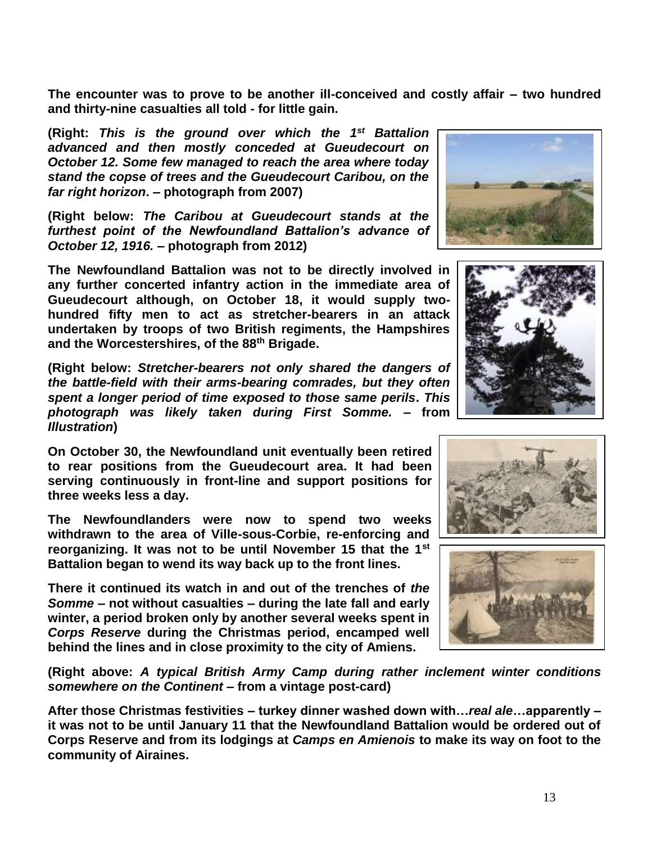**The encounter was to prove to be another ill-conceived and costly affair – two hundred and thirty-nine casualties all told - for little gain.** 

(Right: This is the ground over which the 1<sup>st</sup> Battalion *advanced and then mostly conceded at Gueudecourt on October 12. Some few managed to reach the area where today stand the copse of trees and the Gueudecourt Caribou, on the far right horizon***. – photograph from 2007)**

**(Right below:** *The Caribou at Gueudecourt stands at the furthest point of the Newfoundland Battalion's advance of October 12, 1916.* **– photograph from 2012)**

**The Newfoundland Battalion was not to be directly involved in any further concerted infantry action in the immediate area of Gueudecourt although, on October 18, it would supply twohundred fifty men to act as stretcher-bearers in an attack undertaken by troops of two British regiments, the Hampshires and the Worcestershires, of the 88th Brigade.**

**(Right below:** *Stretcher-bearers not only shared the dangers of the battle-field with their arms-bearing comrades, but they often spent a longer period of time exposed to those same perils***.** *This photograph was likely taken during First Somme.* **– from**  *Illustration***)**

**On October 30, the Newfoundland unit eventually been retired to rear positions from the Gueudecourt area. It had been serving continuously in front-line and support positions for three weeks less a day.**

**The Newfoundlanders were now to spend two weeks withdrawn to the area of Ville-sous-Corbie, re-enforcing and reorganizing. It was not to be until November 15 that the 1st Battalion began to wend its way back up to the front lines.** 

**There it continued its watch in and out of the trenches of** *the Somme* **– not without casualties – during the late fall and early winter, a period broken only by another several weeks spent in**  *Corps Reserve* **during the Christmas period, encamped well behind the lines and in close proximity to the city of Amiens.**

**(Right above:** *A typical British Army Camp during rather inclement winter conditions somewhere on the Continent* **– from a vintage post-card)**

**After those Christmas festivities – turkey dinner washed down with…***real ale***…apparently – it was not to be until January 11 that the Newfoundland Battalion would be ordered out of Corps Reserve and from its lodgings at** *Camps en Amienois* **to make its way on foot to the community of Airaines.** 







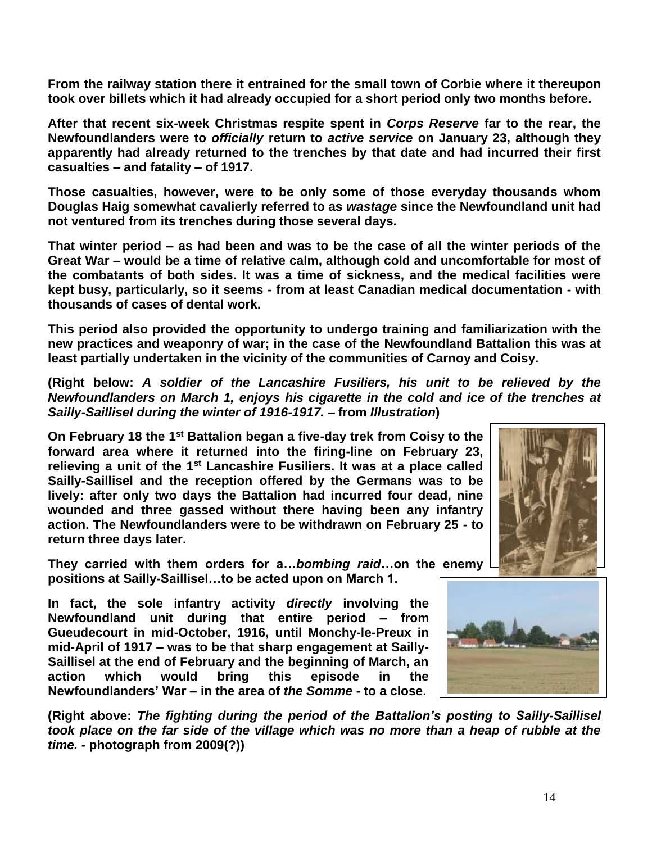**From the railway station there it entrained for the small town of Corbie where it thereupon took over billets which it had already occupied for a short period only two months before.**

**After that recent six-week Christmas respite spent in** *Corps Reserve* **far to the rear, the Newfoundlanders were to** *officially* **return to** *active service* **on January 23, although they apparently had already returned to the trenches by that date and had incurred their first casualties – and fatality – of 1917.** 

**Those casualties, however, were to be only some of those everyday thousands whom Douglas Haig somewhat cavalierly referred to as** *wastage* **since the Newfoundland unit had not ventured from its trenches during those several days.** 

**That winter period – as had been and was to be the case of all the winter periods of the Great War – would be a time of relative calm, although cold and uncomfortable for most of the combatants of both sides. It was a time of sickness, and the medical facilities were kept busy, particularly, so it seems - from at least Canadian medical documentation - with thousands of cases of dental work.**

**This period also provided the opportunity to undergo training and familiarization with the new practices and weaponry of war; in the case of the Newfoundland Battalion this was at least partially undertaken in the vicinity of the communities of Carnoy and Coisy.** 

**(Right below:** *A soldier of the Lancashire Fusiliers, his unit to be relieved by the Newfoundlanders on March 1, enjoys his cigarette in the cold and ice of the trenches at Sailly-Saillisel during the winter of 1916-1917. –* **from** *Illustration***)**

**On February 18 the 1st Battalion began a five-day trek from Coisy to the forward area where it returned into the firing-line on February 23, relieving a unit of the 1st Lancashire Fusiliers. It was at a place called Sailly-Saillisel and the reception offered by the Germans was to be lively: after only two days the Battalion had incurred four dead, nine wounded and three gassed without there having been any infantry action. The Newfoundlanders were to be withdrawn on February 25 - to return three days later.**

**They carried with them orders for a…***bombing raid***…on the enemy positions at Sailly-Saillisel…to be acted upon on March 1.**

**In fact, the sole infantry activity** *directly* **involving the Newfoundland unit during that entire period – from Gueudecourt in mid-October, 1916, until Monchy-le-Preux in mid-April of 1917 – was to be that sharp engagement at Sailly-Saillisel at the end of February and the beginning of March, an action which would bring this episode in the Newfoundlanders' War – in the area of** *the Somme* **- to a close.**



**(Right above:** *The fighting during the period of the Battalion's posting to Sailly-Saillisel took place on the far side of the village which was no more than a heap of rubble at the time.* **- photograph from 2009(?))**

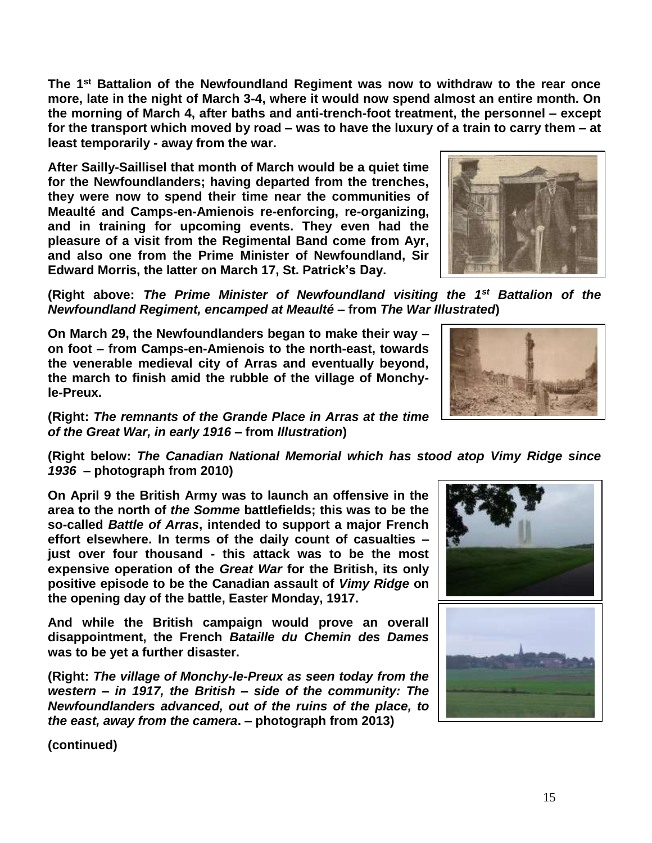**The 1st Battalion of the Newfoundland Regiment was now to withdraw to the rear once more, late in the night of March 3-4, where it would now spend almost an entire month. On the morning of March 4, after baths and anti-trench-foot treatment, the personnel – except for the transport which moved by road – was to have the luxury of a train to carry them – at least temporarily - away from the war.**

**After Sailly-Saillisel that month of March would be a quiet time for the Newfoundlanders; having departed from the trenches, they were now to spend their time near the communities of Meaulté and Camps-en-Amienois re-enforcing, re-organizing, and in training for upcoming events. They even had the pleasure of a visit from the Regimental Band come from Ayr, and also one from the Prime Minister of Newfoundland, Sir Edward Morris, the latter on March 17, St. Patrick's Day.**

**(Right above:** *The Prime Minister of Newfoundland visiting the 1st Battalion of the Newfoundland Regiment, encamped at Meaulté* **– from** *The War Illustrated***)**

**On March 29, the Newfoundlanders began to make their way – on foot – from Camps-en-Amienois to the north-east, towards the venerable medieval city of Arras and eventually beyond, the march to finish amid the rubble of the village of Monchyle-Preux.** 

**(Right:** *The remnants of the Grande Place in Arras at the time of the Great War, in early 1916* **– from** *Illustration***)**

**(Right below:** *The Canadian National Memorial which has stood atop Vimy Ridge since 1936* **– photograph from 2010)**

**On April 9 the British Army was to launch an offensive in the area to the north of** *the Somme* **battlefields; this was to be the so-called** *Battle of Arras***, intended to support a major French effort elsewhere. In terms of the daily count of casualties – just over four thousand - this attack was to be the most expensive operation of the** *Great War* **for the British, its only positive episode to be the Canadian assault of** *Vimy Ridge* **on the opening day of the battle, Easter Monday, 1917.** 

**And while the British campaign would prove an overall disappointment, the French** *Bataille du Chemin des Dames* **was to be yet a further disaster.**

**(Right:** *The village of Monchy-le-Preux as seen today from the western – in 1917, the British – side of the community: The Newfoundlanders advanced, out of the ruins of the place, to the east, away from the camera***. – photograph from 2013)**

**(continued)**







15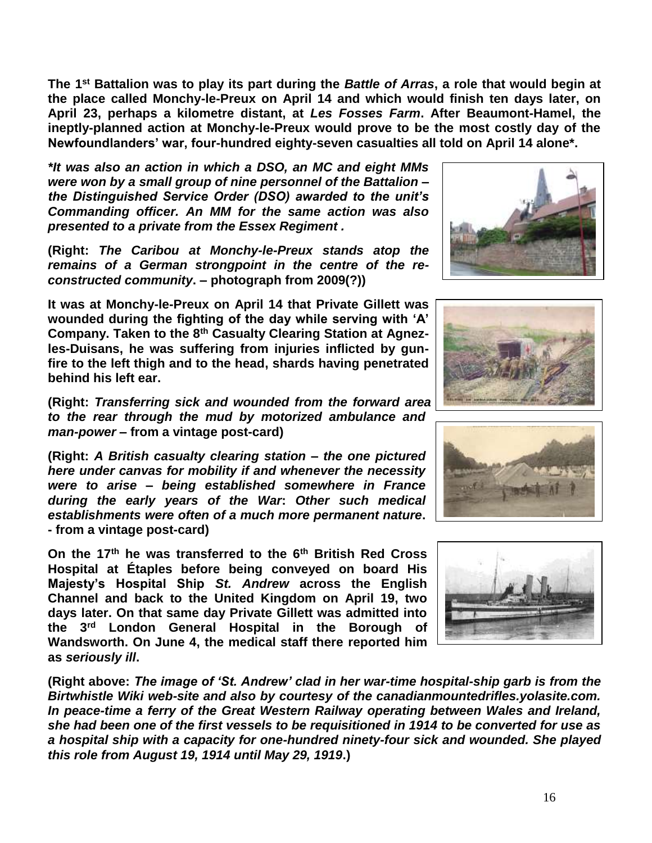**The 1 st Battalion was to play its part during the** *Battle of Arras***, a role that would begin at the place called Monchy-le-Preux on April 14 and which would finish ten days later, on April 23, perhaps a kilometre distant, at** *Les Fosses Farm***. After Beaumont-Hamel, the ineptly-planned action at Monchy-le-Preux would prove to be the most costly day of the Newfoundlanders' war, four-hundred eighty-seven casualties all told on April 14 alone\*.**

*\*It was also an action in which a DSO, an MC and eight MMs were won by a small group of nine personnel of the Battalion – the Distinguished Service Order (DSO) awarded to the unit's Commanding officer. An MM for the same action was also presented to a private from the Essex Regiment .*

**(Right:** *The Caribou at Monchy-le-Preux stands atop the remains of a German strongpoint in the centre of the reconstructed community***. – photograph from 2009(?))**

**It was at Monchy-le-Preux on April 14 that Private Gillett was wounded during the fighting of the day while serving with 'A' Company. Taken to the 8th Casualty Clearing Station at Agnezles-Duisans, he was suffering from injuries inflicted by gunfire to the left thigh and to the head, shards having penetrated behind his left ear.**

**(Right:** *Transferring sick and wounded from the forward area to the rear through the mud by motorized ambulance and man-power* **– from a vintage post-card)**

**(Right:** *A British casualty clearing station – the one pictured here under canvas for mobility if and whenever the necessity were to arise – being established somewhere in France during the early years of the War***:** *Other such medical establishments were often of a much more permanent nature***. - from a vintage post-card)**

**On the 17th he was transferred to the 6th British Red Cross Hospital at Étaples before being conveyed on board His Majesty's Hospital Ship** *St. Andrew* **across the English Channel and back to the United Kingdom on April 19, two days later. On that same day Private Gillett was admitted into the 3rd London General Hospital in the Borough of Wandsworth. On June 4, the medical staff there reported him as** *seriously ill***.**

**(Right above:** *The image of 'St. Andrew' clad in her war-time hospital-ship garb is from the Birtwhistle Wiki web-site and also by courtesy of the canadianmountedrifles.yolasite.com. In peace-time a ferry of the Great Western Railway operating between Wales and Ireland, she had been one of the first vessels to be requisitioned in 1914 to be converted for use as a hospital ship with a capacity for one-hundred ninety-four sick and wounded. She played this role from August 19, 1914 until May 29, 1919***.)**